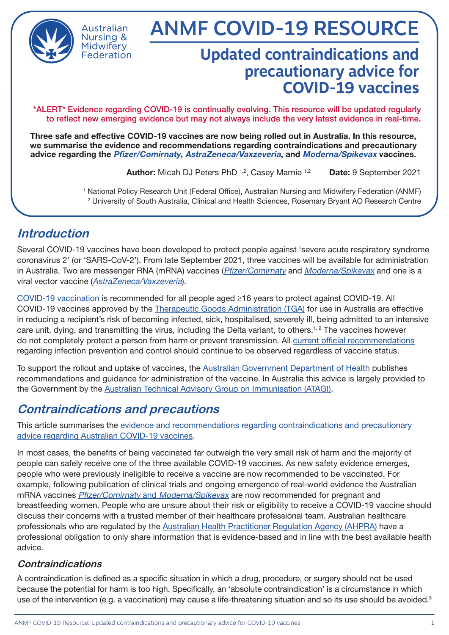

Australian Nursing & Midwiferv Federation

# ANMF COVID-19 RESOURCE

## **Updated contraindications and precautionary advice for COVID-19 vaccines**

\*ALERT\* Evidence regarding COVID-19 is continually evolving. This resource will be updated regularly to reflect new emerging evidence but may not always include the very latest evidence in real-time.

Three safe and effective COVID-19 vaccines are now being rolled out in Australia. In this resource, we summarise the evidence and recommendations regarding contraindications and precautionary advice regarding the *[Pfizer/Comirnaty](https://www.health.gov.au/initiatives-and-programs/covid-19-vaccines/learn-about-covid-19-vaccines/about-the-comirnaty-pfizer-covid-19-vaccine), [AstraZeneca/Vaxzeveria](https://www.health.gov.au/initiatives-and-programs/covid-19-vaccines/learn-about-covid-19-vaccines/about-the-vaxzevria-astrazeneca-covid-19-vaccine)*, and *[Moderna/Spikevax](https://www.health.gov.au/resources/publications/covid-19-vaccination-information-on-covid-19-moderna-spikevax-vaccine)* vaccines.

Author: Micah DJ Peters PhD <sup>1,2</sup>, Casey Marnie <sup>1,2</sup> Date: 9 September 2021

1 National Policy Research Unit (Federal Office), Australian Nursing and Midwifery Federation (ANMF) 2 University of South Australia, Clinical and Health Sciences, Rosemary Bryant AO Research Centre

## **Introduction**

Several COVID-19 vaccines have been developed to protect people against 'severe acute respiratory syndrome coronavirus 2' (or 'SARS-CoV-2'). From late September 2021, three vaccines will be available for administration in Australia. Two are messenger RNA (mRNA) vaccines ([Pfizer/Comirnaty](https://www.health.gov.au/initiatives-and-programs/covid-19-vaccines/learn-about-covid-19-vaccines/about-the-comirnaty-pfizer-covid-19-vaccine) and [Moderna/Spikevax](https://www.health.gov.au/resources/publications/covid-19-vaccination-information-on-covid-19-moderna-spikevax-vaccine) and one is a viral vector vaccine ([AstraZeneca/Vaxzeveria](https://www.health.gov.au/initiatives-and-programs/covid-19-vaccines/learn-about-covid-19-vaccines/about-the-vaxzevria-astrazeneca-covid-19-vaccine)).

[COVID-19 vaccination](https://www.health.gov.au/sites/default/files/documents/2021/08/covid-19-vaccination-atagi-clinical-guidance-on-covid-19-vaccine-in-australia-in-2021.pdf) is recommended for all people aged ≥16 years to protect against COVID-19. All COVID-19 vaccines approved by the [Therapeutic Goods Administration \(TGA\)](https://www.tga.gov.au/covid-19-vaccines) for use in Australia are effective in reducing a recipient's risk of becoming infected, sick, hospitalised, severely ill, being admitted to an intensive care unit, dying, and transmitting the virus, including the Delta variant, to others.1, 2 The vaccines however do not completely protect a person from harm or prevent transmission. All [current official recommendations](https://www.health.gov.au/news/health-alerts/novel-coronavirus-2019-ncov-health-alert/how-to-protect-yourself-and-others-from-coronavirus-covid-19) regarding infection prevention and control should continue to be observed regardless of vaccine status.

To support the rollout and uptake of vaccines, the [Australian Government Department of Health](https://www.health.gov.au/initiatives-and-programs/covid-19-vaccines/learn-about-covid-19-vaccines/about-the-comirnaty-pfizer-covid-19-vaccine) publishes recommendations and guidance for administration of the vaccine. In Australia this advice is largely provided to the Government by the [Australian Technical Advisory Group on Immunisation \(ATAGI\).](https://www.health.gov.au/sites/default/files/documents/2021/08/covid-19-vaccination-atagi-clinical-guidance-on-covid-19-vaccine-in-australia-in-2021.pdf)

## **Contraindications and precautions**

This article summarises the [evidence and recommendations regarding contraindications and precautionary](https://www.health.gov.au/sites/default/files/documents/2021/08/covid-19-vaccination-atagi-clinical-guidance-on-covid-19-vaccine-in-australia-in-2021.pdf)  [advice regarding Australian COVID-19 vaccines.](https://www.health.gov.au/sites/default/files/documents/2021/08/covid-19-vaccination-atagi-clinical-guidance-on-covid-19-vaccine-in-australia-in-2021.pdf)

In most cases, the benefits of being vaccinated far outweigh the very small risk of harm and the majority of people can safely receive one of the three available COVID-19 vaccines. As new safety evidence emerges, people who were previously ineligible to receive a vaccine are now recommended to be vaccinated. For example, following publication of clinical trials and ongoing emergence of real-world evidence the Australian mRNA vaccines Pfizer/Comirnaty and [Moderna/Spikevax](https://ranzcog.edu.au/statements-guidelines/covid-19-statement/covid-19-vaccination-information) are now recommended for pregnant and breastfeeding women. People who are unsure about their risk or eligibility to receive a COVID-19 vaccine should discuss their concerns with a trusted member of their healthcare professional team. Australian healthcare professionals who are regulated by the [Australian Health Practitioner Regulation Agency \(AHPRA\)](https://www.ahpra.gov.au/News/2021-08-30-Joint-statement.aspx) have a professional obligation to only share information that is evidence-based and in line with the best available health advice.

#### **Contraindications**

A contraindication is defined as a specific situation in which a drug, procedure, or surgery should not be used because the potential for harm is too high. Specifically, an 'absolute contraindication' is a circumstance in which use of the intervention (e.g. a vaccination) may cause a life-threatening situation and so its use should be avoided.<sup>3</sup>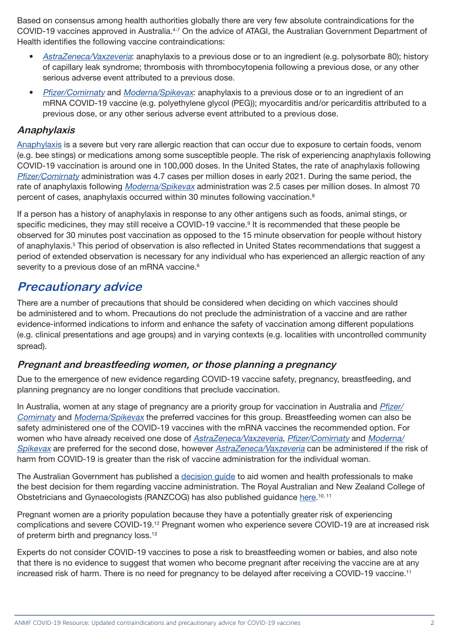Based on consensus among health authorities globally there are very few absolute contraindications for the COVID-19 vaccines approved in Australia.<sup>4-7</sup> On the advice of ATAGI, the Australian Government Department of Health identifies the following vaccine contraindications:

- [AstraZeneca/Vaxzeveria](https://www.health.gov.au/initiatives-and-programs/covid-19-vaccines/learn-about-covid-19-vaccines/about-the-vaxzevria-astrazeneca-covid-19-vaccine): anaphylaxis to a previous dose or to an ingredient (e.g. polysorbate 80); history of capillary leak syndrome; thrombosis with thrombocytopenia following a previous dose, or any other serious adverse event attributed to a previous dose.
- [Pfizer/Comirnaty](https://www.health.gov.au/initiatives-and-programs/covid-19-vaccines/learn-about-covid-19-vaccines/about-the-comirnaty-pfizer-covid-19-vaccine) and [Moderna/Spikevax](https://www.health.gov.au/resources/publications/covid-19-vaccination-information-on-covid-19-moderna-spikevax-vaccine): anaphylaxis to a previous dose or to an ingredient of an mRNA COVID-19 vaccine (e.g. polyethylene glycol (PEG)); myocarditis and/or pericarditis attributed to a previous dose, or any other serious adverse event attributed to a previous dose.

#### **Anaphylaxis**

[Anaphylaxis](https://www.allergy.org.au/patients/ascia-covid-19-vaccination-faq) is a severe but very rare allergic reaction that can occur due to exposure to certain foods, venom (e.g. bee stings) or medications among some susceptible people. The risk of experiencing anaphylaxis following COVID-19 vaccination is around one in 100,000 doses. In the United States, the rate of anaphylaxis following [Pfizer/Comirnaty](https://www.health.gov.au/initiatives-and-programs/covid-19-vaccines/learn-about-covid-19-vaccines/about-the-comirnaty-pfizer-covid-19-vaccine) administration was 4.7 cases per million doses in early 2021. During the same period, the rate of anaphylaxis following *[Moderna/Spikevax](https://www.health.gov.au/resources/publications/covid-19-vaccination-information-on-covid-19-moderna-spikevax-vaccine)* administration was 2.5 cases per million doses. In almost 70 percent of cases, anaphylaxis occurred within 30 minutes following vaccination.8

If a person has a history of anaphylaxis in response to any other antigens such as foods, animal stings, or specific medicines, they may still receive a COVID-19 vaccine.<sup>9</sup> It is recommended that these people be observed for 30 minutes post vaccination as opposed to the 15 minute observation for people without history of anaphylaxis.<sup>5</sup> This period of observation is also reflected in United States recommendations that suggest a period of extended observation is necessary for any individual who has experienced an allergic reaction of any severity to a previous dose of an mRNA vaccine.<sup>6</sup>

### **Precautionary advice**

There are a number of precautions that should be considered when deciding on which vaccines should be administered and to whom. Precautions do not preclude the administration of a vaccine and are rather evidence-informed indications to inform and enhance the safety of vaccination among different populations (e.g. clinical presentations and age groups) and in varying contexts (e.g. localities with uncontrolled community spread).

#### **Pregnant and breastfeeding women, or those planning a pregnancy**

Due to the emergence of new evidence regarding COVID-19 vaccine safety, pregnancy, breastfeeding, and planning pregnancy are no longer conditions that preclude vaccination.

In Australia, women at any stage of pregnancy are a priority group for vaccination in Australia and *[Pfizer/](https://www.health.gov.au/initiatives-and-programs/covid-19-vaccines/learn-about-covid-19-vaccines/about-the-comirnaty-pfizer-covid-19-vaccine)* [Comirnaty](https://www.health.gov.au/initiatives-and-programs/covid-19-vaccines/learn-about-covid-19-vaccines/about-the-comirnaty-pfizer-covid-19-vaccine) and [Moderna/Spikevax](https://www.health.gov.au/resources/publications/covid-19-vaccination-information-on-covid-19-moderna-spikevax-vaccine) the preferred vaccines for this group. Breastfeeding women can also be safety administered one of the COVID-19 vaccines with the mRNA vaccines the recommended option. For women who have already received one dose of [AstraZeneca/Vaxzeveria](https://www.health.gov.au/initiatives-and-programs/covid-19-vaccines/learn-about-covid-19-vaccines/about-the-vaxzevria-astrazeneca-covid-19-vaccine), [Pfizer/Comirnaty](https://www.health.gov.au/initiatives-and-programs/covid-19-vaccines/learn-about-covid-19-vaccines/about-the-comirnaty-pfizer-covid-19-vaccine) and [Moderna/](https://www.health.gov.au/resources/publications/covid-19-vaccination-information-on-covid-19-moderna-spikevax-vaccine) [Spikevax](https://www.health.gov.au/resources/publications/covid-19-vaccination-information-on-covid-19-moderna-spikevax-vaccine) are preferred for the second dose, however [AstraZeneca/Vaxzeveria](https://www.health.gov.au/initiatives-and-programs/covid-19-vaccines/learn-about-covid-19-vaccines/about-the-vaxzevria-astrazeneca-covid-19-vaccine) can be administered if the risk of harm from COVID-19 is greater than the risk of vaccine administration for the individual woman.

The Australian Government has published a [decision guide](https://www.health.gov.au/resources/publications/covid-19-vaccination-covid-19-vaccination-decision-guide-for-women-who-are-pregnant-breastfeeding-or-planning-pregnancy) to aid women and health professionals to make the best decision for them regarding vaccine administration. The Royal Australian and New Zealand College of Obstetricians and Gynaecologists (RANZCOG) has also published guidance [here.](https://ranzcog.edu.au/statements-guidelines/covid-19-statement/covid-19-vaccination-information)<sup>10, 11</sup>

Pregnant women are a priority population because they have a potentially greater risk of experiencing complications and severe COVID-19.12 Pregnant women who experience severe COVID-19 are at increased risk of preterm birth and pregnancy loss.<sup>13</sup>

Experts do not consider COVID-19 vaccines to pose a risk to breastfeeding women or babies, and also note that there is no evidence to suggest that women who become pregnant after receiving the vaccine are at any increased risk of harm. There is no need for pregnancy to be delayed after receiving a COVID-19 vaccine.11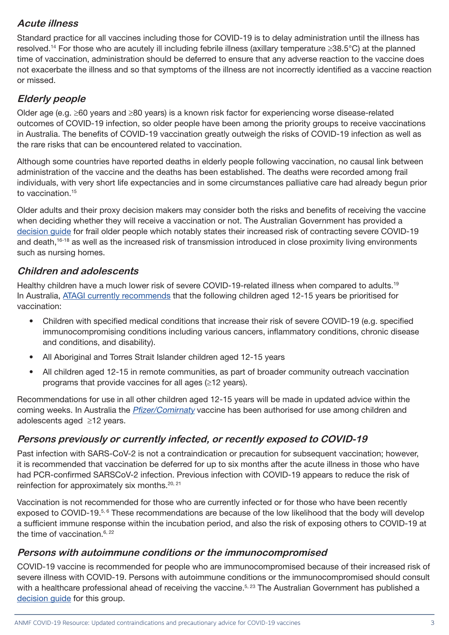#### **Acute illness**

Standard practice for all vaccines including those for COVID-19 is to delay administration until the illness has resolved.14 For those who are acutely ill including febrile illness (axillary temperature ≥38.5°C) at the planned time of vaccination, administration should be deferred to ensure that any adverse reaction to the vaccine does not exacerbate the illness and so that symptoms of the illness are not incorrectly identified as a vaccine reaction or missed.

#### **Elderly people**

Older age (e.g. ≥60 years and ≥80 years) is a known risk factor for experiencing worse disease-related outcomes of COVID-19 infection, so older people have been among the priority groups to receive vaccinations in Australia. The benefits of COVID-19 vaccination greatly outweigh the risks of COVID-19 infection as well as the rare risks that can be encountered related to vaccination.

Although some countries have reported deaths in elderly people following vaccination, no causal link between administration of the vaccine and the deaths has been established. The deaths were recorded among frail individuals, with very short life expectancies and in some circumstances palliative care had already begun prior to vaccination.15

Older adults and their proxy decision makers may consider both the risks and benefits of receiving the vaccine when deciding whether they will receive a vaccination or not. The Australian Government has provided a [decision guide](https://www.health.gov.au/resources/publications/covid-19-vaccination-covid-19-vaccination-decision-guide-for-frail-older-people-including-those-in-residential-aged-care-facilities) for frail older people which notably states their increased risk of contracting severe COVID-19 and death,<sup>16-18</sup> as well as the increased risk of transmission introduced in close proximity living environments such as nursing homes.

#### **Children and adolescents**

Healthy children have a much lower risk of severe COVID-19-related illness when compared to adults.<sup>19</sup> In Australia, [ATAGI currently recommends](https://www.health.gov.au/news/atagi-recommendations-on-the-use-of-covid-19-vaccines-in-all-young-adolescents-in-australia) that the following children aged 12-15 years be prioritised for vaccination:

- Children with specified medical conditions that increase their risk of severe COVID-19 (e.g. specified immunocompromising conditions including various cancers, inflammatory conditions, chronic disease and conditions, and disability).
- All Aboriginal and Torres Strait Islander children aged 12-15 years
- All children aged 12-15 in remote communities, as part of broader community outreach vaccination programs that provide vaccines for all ages (≥12 years).

Recommendations for use in all other children aged 12-15 years will be made in updated advice within the coming weeks. In Australia the [Pfizer/Comirnaty](https://www.health.gov.au/initiatives-and-programs/covid-19-vaccines/learn-about-covid-19-vaccines/about-the-comirnaty-pfizer-covid-19-vaccine) vaccine has been authorised for use among children and adolescents aged ≥12 years.

#### **Persons previously or currently infected, or recently exposed to COVID-19**

Past infection with SARS-CoV-2 is not a contraindication or precaution for subsequent vaccination; however, it is recommended that vaccination be deferred for up to six months after the acute illness in those who have had PCR-confirmed SARSCoV-2 infection. Previous infection with COVID-19 appears to reduce the risk of reinfection for approximately six months.<sup>20, 21</sup>

Vaccination is not recommended for those who are currently infected or for those who have been recently exposed to COVID-19.<sup>5, 6</sup> These recommendations are because of the low likelihood that the body will develop a sufficient immune response within the incubation period, and also the risk of exposing others to COVID-19 at the time of vaccination. $6, 22$ 

#### **Persons with autoimmune conditions or the immunocompromised**

COVID-19 vaccine is recommended for people who are immunocompromised because of their increased risk of severe illness with COVID-19. Persons with autoimmune conditions or the immunocompromised should consult with a healthcare professional ahead of receiving the vaccine.<sup>5, 23</sup> The Australian Government has published a [decision guide](https://www.health.gov.au/resources/publications/atagi-covid-19-vaccination-shared-decision-making-guide-for-people-with-immunocompromise) for this group.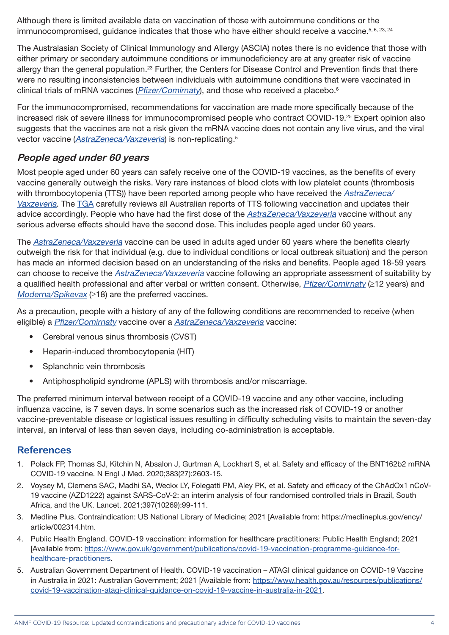Although there is limited available data on vaccination of those with autoimmune conditions or the immunocompromised, quidance indicates that those who have either should receive a vaccine.<sup>5, 6, 23, 24</sup>

The Australasian Society of Clinical Immunology and Allergy (ASCIA) notes there is no evidence that those with either primary or secondary autoimmune conditions or immunodeficiency are at any greater risk of vaccine allergy than the general population.<sup>23</sup> Further, the Centers for Disease Control and Prevention finds that there were no resulting inconsistencies between individuals with autoimmune conditions that were vaccinated in clinical trials of mRNA vaccines ( $Pfizer/Comirnat$ ), and those who received a placebo.<sup>6</sup>

For the immunocompromised, recommendations for vaccination are made more specifically because of the increased risk of severe illness for immunocompromised people who contract COVID-19.25 Expert opinion also suggests that the vaccines are not a risk given the mRNA vaccine does not contain any live virus, and the viral vector vaccine ([AstraZeneca/Vaxzeveria](https://www.health.gov.au/initiatives-and-programs/covid-19-vaccines/learn-about-covid-19-vaccines/about-the-vaxzevria-astrazeneca-covid-19-vaccine)) is non-replicating.5

#### **People aged under 60 years**

Most people aged under 60 years can safely receive one of the COVID-19 vaccines, as the benefits of every vaccine generally outweigh the risks. Very rare instances of blood clots with low platelet counts (thrombosis with thrombocytopenia (TTS)) have been reported among people who have received the **AstraZeneca** [Vaxzeveria](https://www.health.gov.au/initiatives-and-programs/covid-19-vaccines/learn-about-covid-19-vaccines/about-the-vaxzevria-astrazeneca-covid-19-vaccine). The [TGA](https://www.tga.gov.au/periodic/covid-19-vaccine-weekly-safety-report/current) carefully reviews all Australian reports of TTS following vaccination and updates their advice accordingly. People who have had the first dose of the [AstraZeneca/Vaxzeveria](https://www.health.gov.au/initiatives-and-programs/covid-19-vaccines/learn-about-covid-19-vaccines/about-the-vaxzevria-astrazeneca-covid-19-vaccine) vaccine without any serious adverse effects should have the second dose. This includes people aged under 60 years.

The [AstraZeneca/Vaxzeveria](https://www.health.gov.au/initiatives-and-programs/covid-19-vaccines/learn-about-covid-19-vaccines/about-the-vaxzevria-astrazeneca-covid-19-vaccine) vaccine can be used in adults aged under 60 years where the benefits clearly outweigh the risk for that individual (e.g. due to individual conditions or local outbreak situation) and the person has made an informed decision based on an understanding of the risks and benefits. People aged 18-59 years can choose to receive the [AstraZeneca/Vaxzeveria](https://www.health.gov.au/initiatives-and-programs/covid-19-vaccines/learn-about-covid-19-vaccines/about-the-vaxzevria-astrazeneca-covid-19-vaccine) vaccine following an appropriate assessment of suitability by a qualified health professional and after verbal or written consent. Otherwise, [Pfizer/Comirnaty](https://www.health.gov.au/initiatives-and-programs/covid-19-vaccines/learn-about-covid-19-vaccines/about-the-comirnaty-pfizer-covid-19-vaccine) (≥12 years) and [Moderna/Spikevax](https://www.health.gov.au/resources/publications/covid-19-vaccination-information-on-covid-19-moderna-spikevax-vaccine) (≥18) are the preferred vaccines.

As a precaution, people with a history of any of the following conditions are recommended to receive (when eligible) a *[Pfizer/Comirnaty](https://www.health.gov.au/initiatives-and-programs/covid-19-vaccines/learn-about-covid-19-vaccines/about-the-comirnaty-pfizer-covid-19-vaccine)* vaccine over a [AstraZeneca/Vaxzeveria](https://www.health.gov.au/initiatives-and-programs/covid-19-vaccines/learn-about-covid-19-vaccines/about-the-vaxzevria-astrazeneca-covid-19-vaccine) vaccine:

- Cerebral venous sinus thrombosis (CVST)
- Heparin-induced thrombocytopenia (HIT)
- Splanchnic vein thrombosis
- Antiphospholipid syndrome (APLS) with thrombosis and/or miscarriage.

The preferred minimum interval between receipt of a COVID-19 vaccine and any other vaccine, including influenza vaccine, is 7 seven days. In some scenarios such as the increased risk of COVID-19 or another vaccine-preventable disease or logistical issues resulting in difficulty scheduling visits to maintain the seven-day interval, an interval of less than seven days, including co-administration is acceptable.

#### **References**

- 1. Polack FP, Thomas SJ, Kitchin N, Absalon J, Gurtman A, Lockhart S, et al. Safety and efficacy of the BNT162b2 mRNA COVID-19 vaccine. N Engl J Med. 2020;383(27):2603-15.
- 2. Voysey M, Clemens SAC, Madhi SA, Weckx LY, Folegatti PM, Aley PK, et al. Safety and efficacy of the ChAdOx1 nCoV-19 vaccine (AZD1222) against SARS-CoV-2: an interim analysis of four randomised controlled trials in Brazil, South Africa, and the UK. Lancet. 2021;397(10269):99-111.
- 3. Medline Plus. Contraindication: US National Library of Medicine; 2021 [Available from: https://medlineplus.gov/ency/ article/002314.htm.
- 4. Public Health England. COVID-19 vaccination: information for healthcare practitioners: Public Health England; 2021 [Available from: [https://www.gov.uk/government/publications/covid-19-vaccination-programme-guidance-for](https://www.gov.uk/government/publications/covid-19-vaccination-programme-guidance-for-healthcare-practitioners)[healthcare-practitioners.](https://www.gov.uk/government/publications/covid-19-vaccination-programme-guidance-for-healthcare-practitioners)
- 5. Australian Government Department of Health. COVID-19 vaccination ATAGI clinical guidance on COVID-19 Vaccine in Australia in 2021: Australian Government; 2021 [Available from: [https://www.health.gov.au/resources/publications/](https://www.health.gov.au/resources/publications/covid-19-vaccination-atagi-clinical-guidance-on-covid-19-vaccine-in-australia-in-2021) [covid-19-vaccination-atagi-clinical-guidance-on-covid-19-vaccine-in-australia-in-2021](https://www.health.gov.au/resources/publications/covid-19-vaccination-atagi-clinical-guidance-on-covid-19-vaccine-in-australia-in-2021).